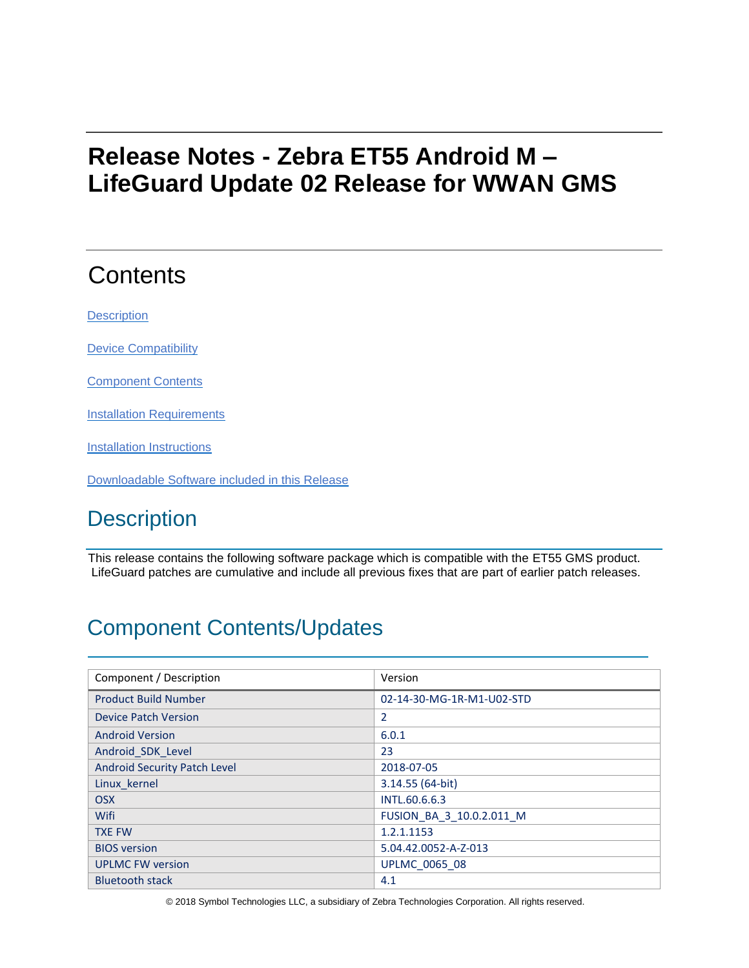# **Release Notes - Zebra ET55 Android M – LifeGuard Update 02 Release for WWAN GMS**

# **Contents**

**[Description](#page-0-0)** 

[Device Compatibility](#page-3-0)

Component Contents

**[Installation Requirements](#page-3-1)** 

[Installation Instructions](#page-3-2)

[Downloadable Software included in this Release](#page-4-0)

# <span id="page-0-0"></span>**Description**

This release contains the following software package which is compatible with the ET55 GMS product. LifeGuard patches are cumulative and include all previous fixes that are part of earlier patch releases.

# Component Contents/Updates

| Component / Description      | Version                   |
|------------------------------|---------------------------|
| <b>Product Build Number</b>  | 02-14-30-MG-1R-M1-U02-STD |
| <b>Device Patch Version</b>  | $\overline{2}$            |
| <b>Android Version</b>       | 6.0.1                     |
| Android SDK Level            | 23                        |
| Android Security Patch Level | 2018-07-05                |
| Linux kernel                 | $3.14.55(64-bit)$         |
| <b>OSX</b>                   | INTL.60.6.6.3             |
| Wifi                         | FUSION_BA_3_10.0.2.011_M  |
| <b>TXE FW</b>                | 1.2.1.1153                |
| <b>BIOS</b> version          | 5.04.42.0052-A-Z-013      |
| <b>UPLMC FW version</b>      | <b>UPLMC 0065 08</b>      |
| <b>Bluetooth stack</b>       | 4.1                       |

© 2018 Symbol Technologies LLC, a subsidiary of Zebra Technologies Corporation. All rights reserved.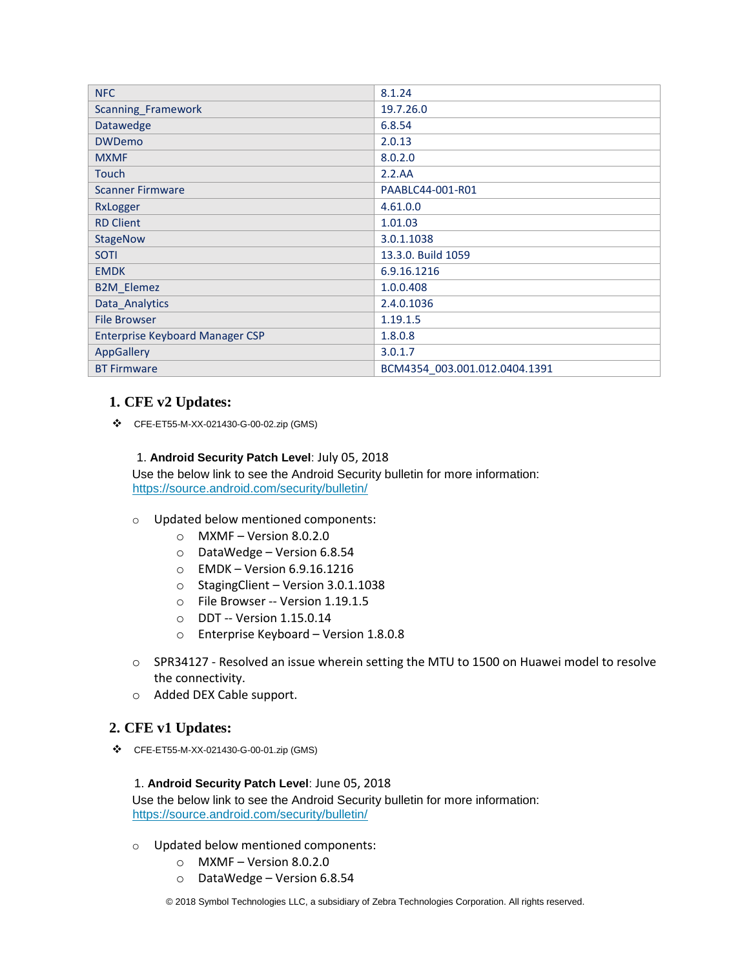| <b>NFC</b>                             | 8.1.24                        |
|----------------------------------------|-------------------------------|
| Scanning_Framework                     | 19.7.26.0                     |
| Datawedge                              | 6.8.54                        |
| <b>DWDemo</b>                          | 2.0.13                        |
| <b>MXMF</b>                            | 8.0.2.0                       |
| <b>Touch</b>                           | 2.2.AA                        |
| <b>Scanner Firmware</b>                | PAABLC44-001-R01              |
| RxLogger                               | 4.61.0.0                      |
| <b>RD Client</b>                       | 1.01.03                       |
| <b>StageNow</b>                        | 3.0.1.1038                    |
| <b>SOTI</b>                            | 13.3.0. Build 1059            |
| <b>EMDK</b>                            | 6.9.16.1216                   |
| <b>B2M_Elemez</b>                      | 1.0.0.408                     |
| Data_Analytics                         | 2.4.0.1036                    |
| <b>File Browser</b>                    | 1.19.1.5                      |
| <b>Enterprise Keyboard Manager CSP</b> | 1.8.0.8                       |
| AppGallery                             | 3.0.1.7                       |
| <b>BT Firmware</b>                     | BCM4354 003.001.012.0404.1391 |

### **1. CFE v2 Updates:**

❖ CFE-ET55-M-XX-021430-G-00-02.zip (GMS)

#### 1. **Android Security Patch Level**: July 05, 2018

Use the below link to see the Android Security bulletin for more information: <https://source.android.com/security/bulletin/>

- o Updated below mentioned components:
	- $\circ$  MXMF Version 8.0.2.0
	- o DataWedge Version 6.8.54
	- o EMDK Version 6.9.16.1216
	- o StagingClient Version 3.0.1.1038
	- o File Browser -- Version 1.19.1.5
	- o DDT -- Version 1.15.0.14
	- o Enterprise Keyboard Version 1.8.0.8
- o SPR34127 Resolved an issue wherein setting the MTU to 1500 on Huawei model to resolve the connectivity.
- o Added DEX Cable support.

### **2. CFE v1 Updates:**

❖ CFE-ET55-M-XX-021430-G-00-01.zip (GMS)

#### 1. **Android Security Patch Level**: June 05, 2018

Use the below link to see the Android Security bulletin for more information: <https://source.android.com/security/bulletin/>

- o Updated below mentioned components:
	- o MXMF Version 8.0.2.0
	- o DataWedge Version 6.8.54

© 2018 Symbol Technologies LLC, a subsidiary of Zebra Technologies Corporation. All rights reserved.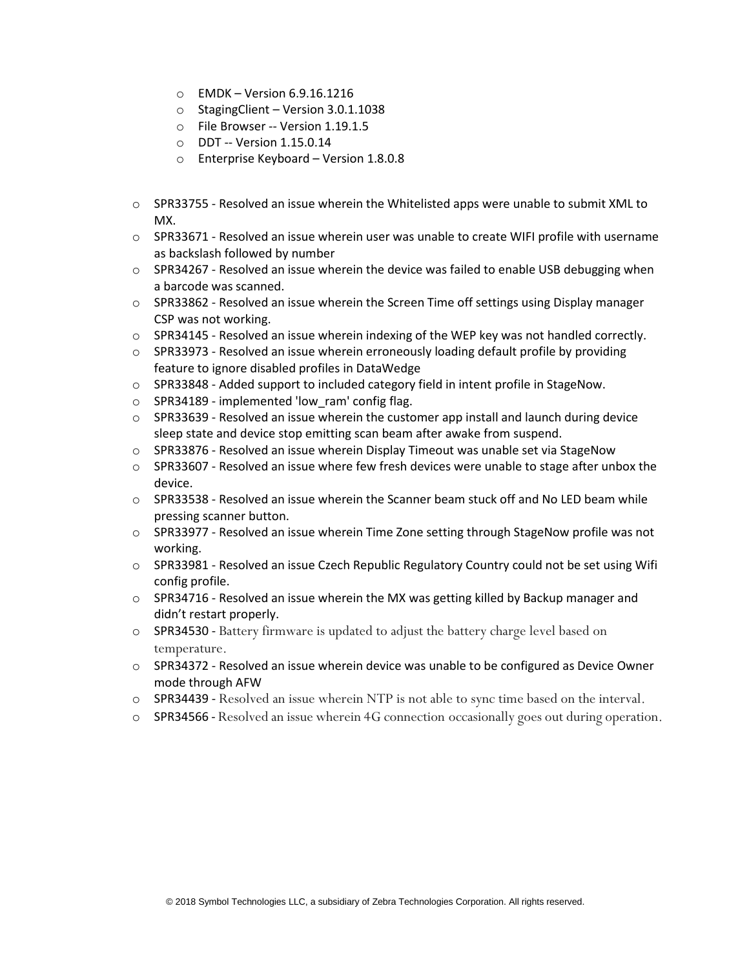- o EMDK Version 6.9.16.1216
- o StagingClient Version 3.0.1.1038
- o File Browser -- Version 1.19.1.5
- o DDT -- Version 1.15.0.14
- o Enterprise Keyboard Version 1.8.0.8
- $\circ$  SPR33755 Resolved an issue wherein the Whitelisted apps were unable to submit XML to MX.
- $\circ$  SPR33671 Resolved an issue wherein user was unable to create WIFI profile with username as backslash followed by number
- $\circ$  SPR34267 Resolved an issue wherein the device was failed to enable USB debugging when a barcode was scanned.
- o SPR33862 Resolved an issue wherein the Screen Time off settings using Display manager CSP was not working.
- $\circ$  SPR34145 Resolved an issue wherein indexing of the WEP key was not handled correctly.
- $\circ$  SPR33973 Resolved an issue wherein erroneously loading default profile by providing feature to ignore disabled profiles in DataWedge
- $\circ$  SPR33848 Added support to included category field in intent profile in StageNow.
- o SPR34189 implemented 'low\_ram' config flag.
- $\circ$  SPR33639 Resolved an issue wherein the customer app install and launch during device sleep state and device stop emitting scan beam after awake from suspend.
- o SPR33876 Resolved an issue wherein Display Timeout was unable set via StageNow
- $\circ$  SPR33607 Resolved an issue where few fresh devices were unable to stage after unbox the device.
- $\circ$  SPR33538 Resolved an issue wherein the Scanner beam stuck off and No LED beam while pressing scanner button.
- $\circ$  SPR33977 Resolved an issue wherein Time Zone setting through StageNow profile was not working.
- o SPR33981 Resolved an issue Czech Republic Regulatory Country could not be set using Wifi config profile.
- $\circ$  SPR34716 Resolved an issue wherein the MX was getting killed by Backup manager and didn't restart properly.
- o SPR34530 Battery firmware is updated to adjust the battery charge level based on temperature.
- o SPR34372 Resolved an issue wherein device was unable to be configured as Device Owner mode through AFW
- o SPR34439 Resolved an issue wherein NTP is not able to sync time based on the interval.
- o SPR34566 Resolved an issue wherein 4G connection occasionally goes out during operation.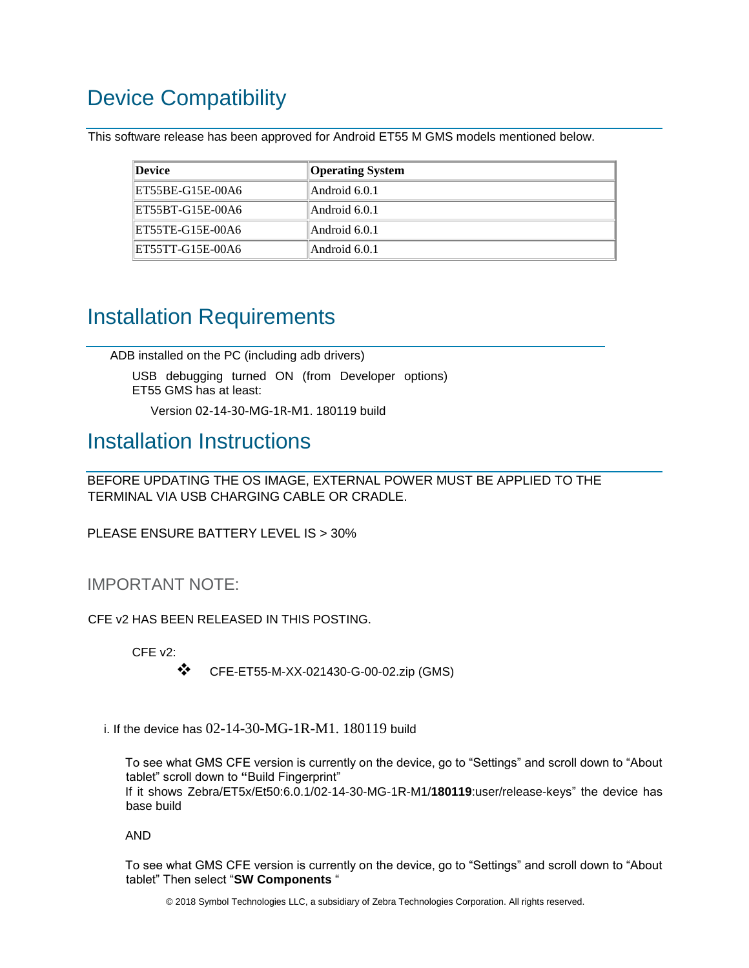# <span id="page-3-0"></span>Device Compatibility

This software release has been approved for Android ET55 M GMS models mentioned below.

| Device           | <b>Operating System</b> |
|------------------|-------------------------|
| ET55BE-G15E-00A6 | Android 6.0.1           |
| ET55BT-G15E-00A6 | Android 6.0.1           |
| ET55TE-G15E-00A6 | Android 6.0.1           |
| ET55TT-G15E-00A6 | Android 6.0.1           |

## <span id="page-3-1"></span>Installation Requirements

ADB installed on the PC (including adb drivers)

USB debugging turned ON (from Developer options) ET55 GMS has at least:

Version 02-14-30-MG-1R-M1. 180119 build

### <span id="page-3-2"></span>Installation Instructions

BEFORE UPDATING THE OS IMAGE, EXTERNAL POWER MUST BE APPLIED TO THE TERMINAL VIA USB CHARGING CABLE OR CRADLE.

PLEASE ENSURE BATTERY LEVEL IS > 30%

### IMPORTANT NOTE:

CFE v2 HAS BEEN RELEASED IN THIS POSTING.

CFE v2:

❖ CFE-ET55-M-XX-021430-G-00-02.zip (GMS)

i. If the device has 02-14-30-MG-1R-M1. 180119 build

To see what GMS CFE version is currently on the device, go to "Settings" and scroll down to "About tablet" scroll down to **"**Build Fingerprint" If it shows Zebra/ET5x/Et50:6.0.1/02-14-30-MG-1R-M1/**180119**:user/release-keys" the device has base build

AND

To see what GMS CFE version is currently on the device, go to "Settings" and scroll down to "About tablet" Then select "**SW Components** "